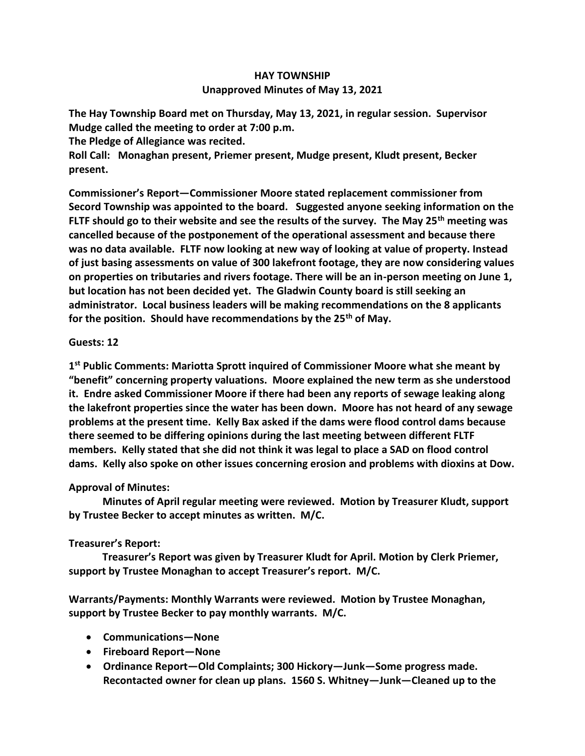## **HAY TOWNSHIP Unapproved Minutes of May 13, 2021**

**The Hay Township Board met on Thursday, May 13, 2021, in regular session. Supervisor Mudge called the meeting to order at 7:00 p.m.** 

**The Pledge of Allegiance was recited.** 

**Roll Call: Monaghan present, Priemer present, Mudge present, Kludt present, Becker present.**

**Commissioner's Report—Commissioner Moore stated replacement commissioner from Secord Township was appointed to the board. Suggested anyone seeking information on the FLTF should go to their website and see the results of the survey. The May 25th meeting was cancelled because of the postponement of the operational assessment and because there was no data available. FLTF now looking at new way of looking at value of property. Instead of just basing assessments on value of 300 lakefront footage, they are now considering values on properties on tributaries and rivers footage. There will be an in-person meeting on June 1, but location has not been decided yet. The Gladwin County board is still seeking an administrator. Local business leaders will be making recommendations on the 8 applicants for the position. Should have recommendations by the 25th of May.**

## **Guests: 12**

**1 st Public Comments: Mariotta Sprott inquired of Commissioner Moore what she meant by "benefit" concerning property valuations. Moore explained the new term as she understood it. Endre asked Commissioner Moore if there had been any reports of sewage leaking along the lakefront properties since the water has been down. Moore has not heard of any sewage problems at the present time. Kelly Bax asked if the dams were flood control dams because there seemed to be differing opinions during the last meeting between different FLTF members. Kelly stated that she did not think it was legal to place a SAD on flood control dams. Kelly also spoke on other issues concerning erosion and problems with dioxins at Dow.**

## **Approval of Minutes:**

 **Minutes of April regular meeting were reviewed. Motion by Treasurer Kludt, support by Trustee Becker to accept minutes as written. M/C.**

## **Treasurer's Report:**

 **Treasurer's Report was given by Treasurer Kludt for April. Motion by Clerk Priemer, support by Trustee Monaghan to accept Treasurer's report. M/C.**

**Warrants/Payments: Monthly Warrants were reviewed. Motion by Trustee Monaghan, support by Trustee Becker to pay monthly warrants. M/C.**

- **Communications—None**
- **Fireboard Report—None**
- **Ordinance Report—Old Complaints; 300 Hickory—Junk—Some progress made. Recontacted owner for clean up plans. 1560 S. Whitney—Junk—Cleaned up to the**